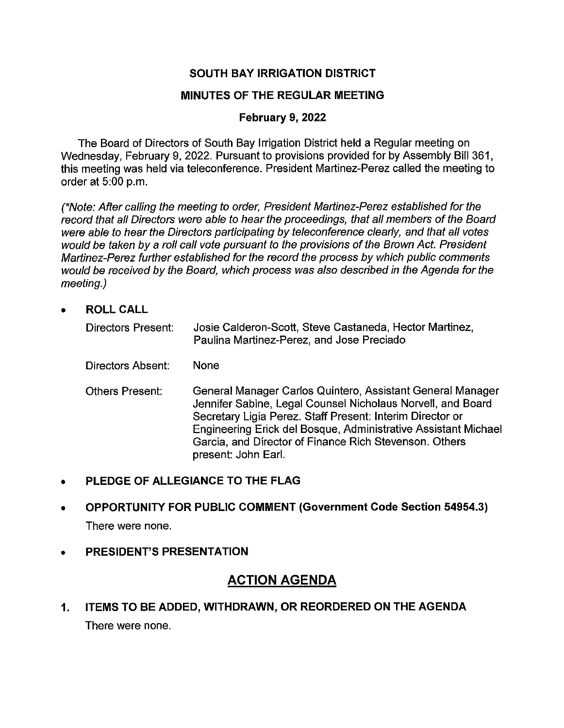## **SOUTH BAY IRRIGATION DISTRICT**

### **MINUTES OF THE REGULAR MEETING**

### **February 9, 2022**

The Board of Directors of South Bay Irrigation District held a Regular meeting on Wednesday, February 9, 2022. Pursuant to provisions provided for by Assembly Bill 361, this meeting was held via teleconference. President Martinez-Perez called the meeting to order at 5:00 p.m.

(\*Note: After calling the meeting to order, President Martinez-Perez established for the record that all Directors were able to hear the proceedings, that all members of the Board were able to hear the Directors participating by teleconference clearly, and that all votes would be taken by a roll call vote pursuant to the provisions of the Brown Act. President Martinez-Perez further established for the record the process by which public comments would be received by the Board, which process was also described in the Agenda for the meeting.)

• **ROLLCALL** 

| <b>Directors Present:</b> | Josie Calderon-Scott, Steve Castaneda, Hector Martinez,<br>Paulina Martinez-Perez, and Jose Preciado                                                                                                                                                                                                                                      |
|---------------------------|-------------------------------------------------------------------------------------------------------------------------------------------------------------------------------------------------------------------------------------------------------------------------------------------------------------------------------------------|
| Directors Absent:         | None                                                                                                                                                                                                                                                                                                                                      |
| <b>Others Present:</b>    | General Manager Carlos Quintero, Assistant General Manager<br>Jennifer Sabine, Legal Counsel Nicholaus Norvell, and Board<br>Secretary Ligia Perez. Staff Present: Interim Director or<br>Engineering Erick del Bosque, Administrative Assistant Michael<br>Garcia, and Director of Finance Rich Stevenson. Others<br>present: John Earl. |

- **PLEDGE OF ALLEGIANCE TO THE FLAG**
- **OPPORTUNITY FOR PUBLIC COMMENT (Government Code Section 54954.3)**  There were none.
- **PRESIDENT'S PRESENTATION**

# **ACTION AGENDA**

**1. ITEMS TO BE ADDED, WITHDRAWN, OR REORDERED ON THE AGENDA**  There were none.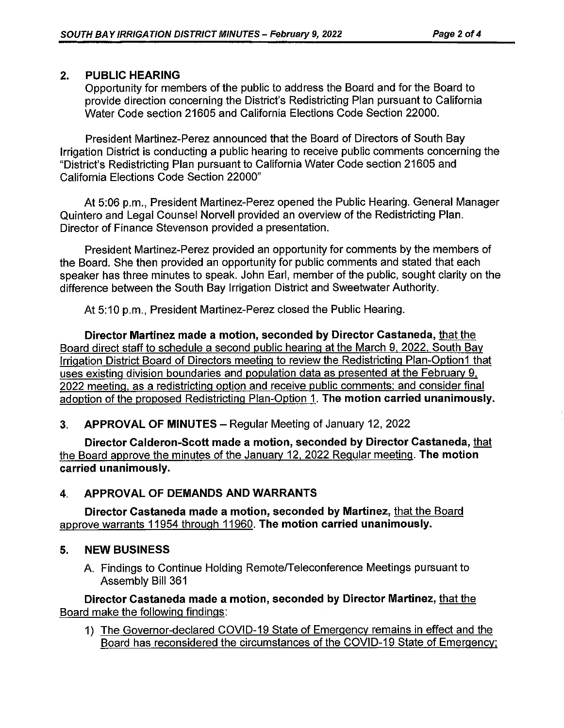## **2. PUBLIC HEARING**

Opportunity for members of the public to address the Board and for the Board to provide direction concerning the District's Redistricting Plan pursuant to California Water Code section 21605 and California Elections Code Section 22000.

President Martinez-Perez announced that the Board of Directors of South Bay Irrigation District is conducting a public hearing to receive public comments concerning the "District's Redistricting Plan pursuant to California Water Code section 21605 and California Elections Code Section 22000"

At 5:06 p.m., President Martinez-Perez opened the Public Hearing. General Manager Quintero and Legal Counsel Norvell provided an overview of the Redistricting Plan. Director of Finance Stevenson provided a presentation.

President Martinez-Perez provided an opportunity for comments by the members of the Board. She then provided an opportunity for public comments and stated that each speaker has three minutes to speak. John Earl, member of the public, sought clarity on the difference between the South Bay Irrigation District and Sweetwater Authority.

At 5:10 p.m., President Martinez-Perez closed the Public Hearing.

**Director Martinez made a motion, seconded by Director Castaneda,** that the Board direct staff to schedule a second public hearing at the March 9, 2022. South Bay Irrigation District Board of Directors meeting to review the Redistricting Plan-Option1 that uses existing division boundaries and population data as presented at the February 9, 2022 meeting, as a redistricting option and receive public comments: and consider final adoption of the proposed Redistricting Plan-Option 1. **The motion carried unanimously.** 

**3. APPROVAL OF MINUTES-** Regular Meeting of January 12, 2022

**Director Calderon-Scott made a motion, seconded by Director Castaneda,** that the Board approve the minutes of the January 12, 2022 Regular meeting. **The motion carried unanimously.** 

## **4. APPROVAL OF DEMANDS AND WARRANTS**

**Director Castaneda made a motion, seconded by Martinez,** that the Board approve warrants 11954 through 11960. **The motion carried unanimously.** 

## **5. NEW BUSINESS**

A. Findings to Continue Holding Remote/Teleconference Meetings pursuant to Assembly Bill 361

**Director Castaneda made a motion. seconded by Director Martinez,** that the Board make the following findings:

1) The Governor-declared COVID-19 State of Emergency remains in effect and the Board has reconsidered the circumstances of the COVID-19 State of Emergency: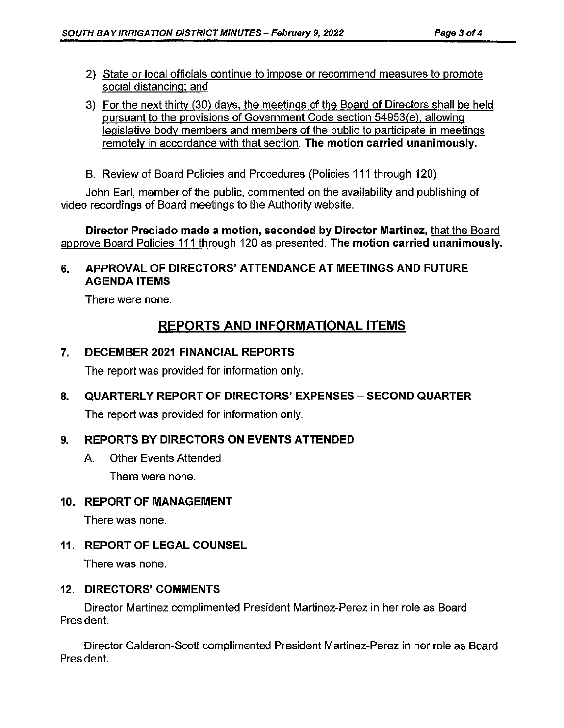- 2) State or local officials continue to impose or recommend measures to promote social distancing: and
- 3) For the next thirty (30) days, the meetings of the Board of Directors shall be held pursuant to the provisions of Government Code section 54953(e). allowing legislative body members and members of the public to participate in meetings remotely in accordance with that section. **The motion carried unanimously.**
- B. Review of Board Policies and Procedures (Policies 111 through 120)

John Earl, member of the public, commented on the availability and publishing of video recordings of Board meetings to the Authority website.

**Director Preciado made a motion, seconded by Director Martinez,** that the Board approve Board Policies 111 through 120 as presented. **The motion carried unanimously.** 

## **6. APPROVAL OF DIRECTORS' ATTENDANCE AT MEETINGS AND FUTURE AGENDA ITEMS**

There were none.

# **REPORTS AND INFORMATIONAL ITEMS**

## **7. DECEMBER 2021 FINANCIAL REPORTS**

The report was provided for information only.

## **8. QUARTERLY REPORT OF DIRECTORS' EXPENSES** - **SECOND QUARTER**

The report was provided for information only.

## **9. REPORTS BY DIRECTORS ON EVENTS ATTENDED**

A. Other Events Attended There were none.

### **10. REPORT OF MANAGEMENT**

There was none.

**11. REPORT OF LEGAL COUNSEL** 

There was none.

### **12. DIRECTORS' COMMENTS**

Director Martinez complimented President Martinez-Perez in her role as Board President.

Director Calderon-Scott complimented President Martinez-Perez in her role as Board President.